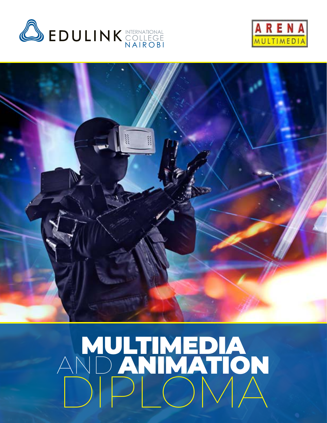





## PB **Edulink International College Nairobi | Arena Multimedia Specialist Program Edulink International College Nairobi | Arena Multimedia Specialist Program** 1 MULTIMEDIA AND ANIMATION DIPLOMA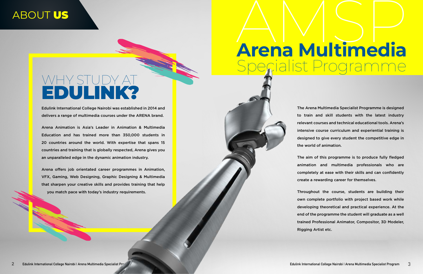### ABOUT US

The Arena Multimedia Specialist Programme is designed to train and skill students with the latest industry relevant courses and technical educational tools. Arena's intensive course curriculum and experiential training is designed to give every student the competitive edge in the world of animation.

# **Arena Multimedia** Specialist Programme AMSP

The aim of this programme is to produce fully fledged animation and multimedia professionals who are completely at ease with their skills and can confidently create a rewarding career for themselves.

Throughout the course, students are building their own complete portfolio with project based work while developing theoretical and practical experience. At the end of the programme the student will graduate as a well trained Professional Animator, Compositor, 3D Modeler, Rigging Artist etc.

# WHY STUDY AT EDULINK?

Edulink International College Nairobi was established in 2014 and delivers a range of multimedia courses under the ARENA brand.

Arena Animation is Asia's Leader in Animation & Multimedia Education and has trained more than 350,000 students in 20 countries around the world. With expertise that spans 15 countries and training that is globally respected, Arena gives you an unparalleled edge in the dynamic animation industry.

Arena offers job orientated career programmes in Animation, VFX, Gaming, Web Designing, Graphic Designing & Multimedia that sharpen your creative skills and provides training that help you match pace with today's industry requirements.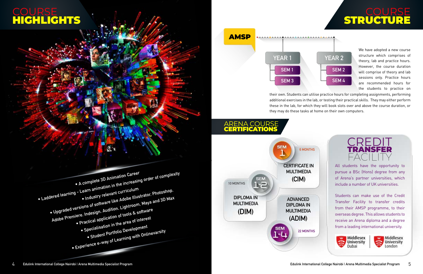

#### COURSE STRUCTURE





We have adopted a new course structure which comprises of theory, lab and practice hours. However, the course duration will comprise of theory and lab sessions only. Practice hours are recommended hours for the students to practice on

#### **COURSE** HIGHLIGHTS

**AMSP** 

their own. Students can utilise practice hours for completing assignments, performing additional exercises in the lab, or testing their practical skills. They may either perform these in the lab, for which they will book slots over and above the course duration, or they may do these tasks at home on their own computers.

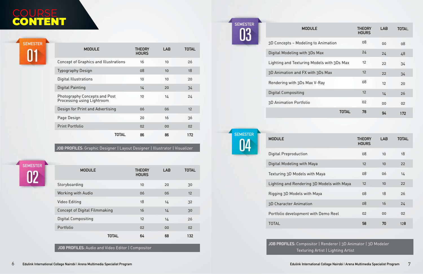**SEMESTER** በን





**MODI** 

3D Concepts - Modeling Digital Modeling with 3

Lighting and Texturing

3D Animation and FX w

Rendering with 3Ds Max



#### **MODULE**

Digital Preproduction Digital Modeling with M Texturing 3D Models with Lighting and Rendering Rigging 3D Models with 3D Character Animation Portfolio development v TOTAL

|                     | <b>THEORY</b><br><b>HOURS</b> | <b>LAB</b> | <b>TOTAL</b> |
|---------------------|-------------------------------|------------|--------------|
|                     | 08                            | 10         | 18           |
| laya                | 12                            | 10         | 22           |
| th Maya             | 08                            | 06         | 14           |
| 3D Models with Maya | 12                            | 10         | 22           |
| Maya                | 08                            | 18         | 26           |
| ľ                   | 08                            | 16         | 24           |
| vith Demo Reel      | 02                            | 00         | 02           |
|                     | 58                            | 70         | 128          |

**JOB PROFILES:** Compositor | Renderer | 3D Animator | 3D Modeler Texturing Artist | Lighting Artist

| JLE                 | <b>THEORY</b><br><b>HOURS</b> | <b>LAB</b> | <b>TOTAL</b> |
|---------------------|-------------------------------|------------|--------------|
| g to Animation      | 08                            | 00         | 08           |
| Ds Max              | 24                            | 24         | 48           |
| Models with 3Ds Max | 12                            | 22         | 34           |
| ith 3Ds Max         | 12                            | 22         | 34           |
| x V-Ray             | 08                            | 12         | 20           |
|                     | 12                            | 14         | 26           |
|                     | 02                            | 00         | 02           |
| <b>TOTAL</b>        | 78                            | 94         | 172          |

#### **COURSE** CONTENT

Digital Compositing

3D Animation Portfolio

**JOB PROFILES:** Audio and Video Editor | Compositor

| <b>MODULE</b>                        | <b>THEORY</b><br><b>HOURS</b> | <b>LAB</b> | <b>TOTAL</b> |
|--------------------------------------|-------------------------------|------------|--------------|
| Storyboarding                        | 10                            | 20         | 30           |
| Working with Audio                   | 06                            | 06         | 12           |
| Video Editing                        | 18                            | 14         | 32           |
| <b>Concept of Digital Filmmaking</b> | 16                            | 14         | 30           |
| <b>Digital Compositing</b>           | 12                            | 14         | 26           |
| Portfolio                            | 02                            | $00 \,$    | 02           |
| <b>TOTAL</b>                         | 64                            | 68         | 132          |

**JOB PROFILES:** Graphic Designer | Layout Designer | Illustrator | Visualizer

| <b>MODULE</b>                                               | THEORY<br><b>HOURS</b> | <b>LAB</b> | <b>TOTAL</b> |
|-------------------------------------------------------------|------------------------|------------|--------------|
| Concept of Graphics and Illustrations                       | 16                     | 10         | 26           |
| <b>Typography Design</b>                                    | 08                     | 10         | 18           |
| Digital Illustrations                                       | 10                     | 10         | 20           |
| <b>Digital Painting</b>                                     | 14                     | 20         | 34           |
| Photography Concepts and Post<br>Processing using Lightroom | 10                     | 14         | 24           |
| Design for Print and Advertising                            | 06                     | 06         | 12           |
| Page Design                                                 | 20                     | 16         | 36           |
| <b>Print Portfolio</b>                                      | 0 <sup>2</sup>         | 00         | 02           |
| <b>IOIAL</b>                                                | 86                     | 86         | 172          |